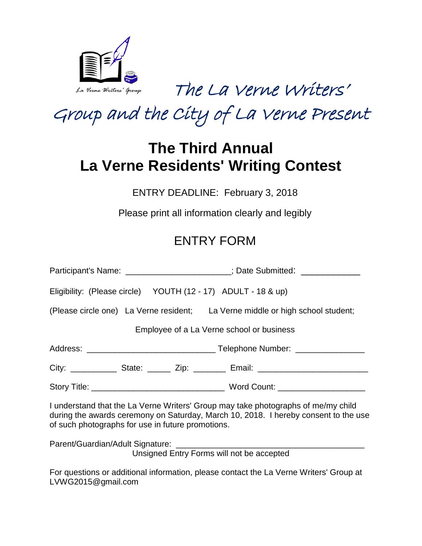

The La Verne Writers'

Group and the City of La Verne Present

# **The Third Annual La Verne Residents' Writing Contest**

ENTRY DEADLINE: February 3, 2018

Please print all information clearly and legibly

## ENTRY FORM

|                                                                                                                                                                                                                               |                                                               | Participant's Name: _______________________; Date Submitted: _____________     |
|-------------------------------------------------------------------------------------------------------------------------------------------------------------------------------------------------------------------------------|---------------------------------------------------------------|--------------------------------------------------------------------------------|
|                                                                                                                                                                                                                               | Eligibility: (Please circle) YOUTH (12 - 17) ADULT - 18 & up) |                                                                                |
|                                                                                                                                                                                                                               |                                                               | (Please circle one) La Verne resident; La Verne middle or high school student; |
| Employee of a La Verne school or business                                                                                                                                                                                     |                                                               |                                                                                |
|                                                                                                                                                                                                                               |                                                               |                                                                                |
|                                                                                                                                                                                                                               |                                                               |                                                                                |
|                                                                                                                                                                                                                               |                                                               |                                                                                |
| I understand that the La Verne Writers' Group may take photographs of me/my child<br>during the awards ceremony on Saturday, March 10, 2018. I hereby consent to the use<br>of such photographs for use in future promotions. |                                                               |                                                                                |
| Unsigned Entry Forms will not be accepted                                                                                                                                                                                     |                                                               |                                                                                |
| For questions or additional information, please contact the La Verne Writers' Croup at                                                                                                                                        |                                                               |                                                                                |

For questions or additional information, please contact the La Verne Writers' Group at LVWG2015@gmail.com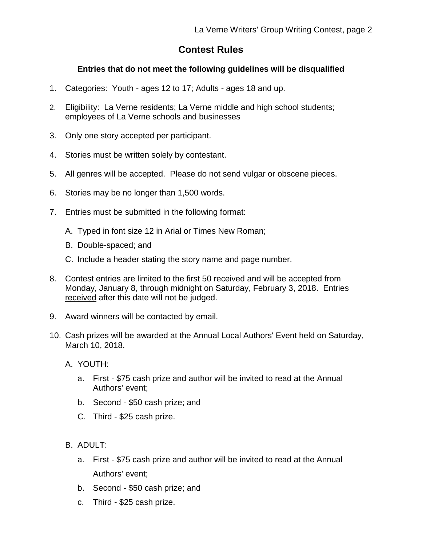## **Contest Rules**

#### **Entries that do not meet the following guidelines will be disqualified**

- 1. Categories: Youth ages 12 to 17; Adults ages 18 and up.
- 2. Eligibility: La Verne residents; La Verne middle and high school students; employees of La Verne schools and businesses
- 3. Only one story accepted per participant.
- 4. Stories must be written solely by contestant.
- 5. All genres will be accepted. Please do not send vulgar or obscene pieces.
- 6. Stories may be no longer than 1,500 words.
- 7. Entries must be submitted in the following format:
	- A. Typed in font size 12 in Arial or Times New Roman;
	- B. Double-spaced; and
	- C. Include a header stating the story name and page number.
- 8. Contest entries are limited to the first 50 received and will be accepted from Monday, January 8, through midnight on Saturday, February 3, 2018. Entries received after this date will not be judged.
- 9. Award winners will be contacted by email.
- 10. Cash prizes will be awarded at the Annual Local Authors' Event held on Saturday, March 10, 2018.
	- A. YOUTH:
		- a. First \$75 cash prize and author will be invited to read at the Annual Authors' event;
		- b. Second \$50 cash prize; and
		- C. Third \$25 cash prize.
	- $B.$  ADULT:
		- a. First \$75 cash prize and author will be invited to read at the Annual Authors' event;
		- b. Second \$50 cash prize; and
		- c. Third \$25 cash prize.